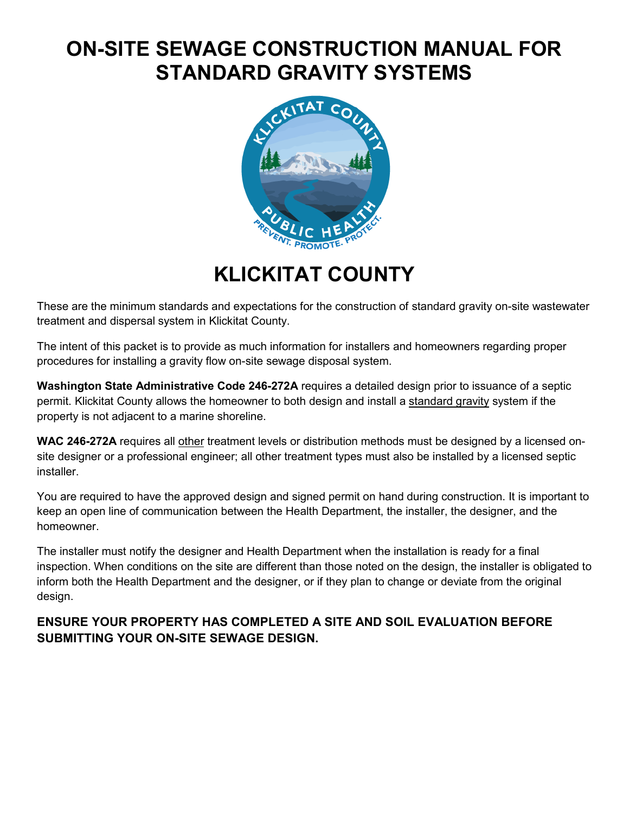# **ON-SITE SEWAGE CONSTRUCTION MANUAL FOR STANDARD GRAVITY SYSTEMS**



**KLICKITAT COUNTY**

These are the minimum standards and expectations for the construction of standard gravity on-site wastewater treatment and dispersal system in Klickitat County.

The intent of this packet is to provide as much information for installers and homeowners regarding proper procedures for installing a gravity flow on-site sewage disposal system.

**Washington State Administrative Code 246-272A** requires a detailed design prior to issuance of a septic permit. Klickitat County allows the homeowner to both design and install a standard gravity system if the property is not adjacent to a marine shoreline.

**WAC 246-272A** requires all other treatment levels or distribution methods must be designed by a licensed onsite designer or a professional engineer; all other treatment types must also be installed by a licensed septic **installer** 

You are required to have the approved design and signed permit on hand during construction. It is important to keep an open line of communication between the Health Department, the installer, the designer, and the homeowner.

The installer must notify the designer and Health Department when the installation is ready for a final inspection. When conditions on the site are different than those noted on the design, the installer is obligated to inform both the Health Department and the designer, or if they plan to change or deviate from the original design.

# **ENSURE YOUR PROPERTY HAS COMPLETED A SITE AND SOIL EVALUATION BEFORE SUBMITTING YOUR ON-SITE SEWAGE DESIGN.**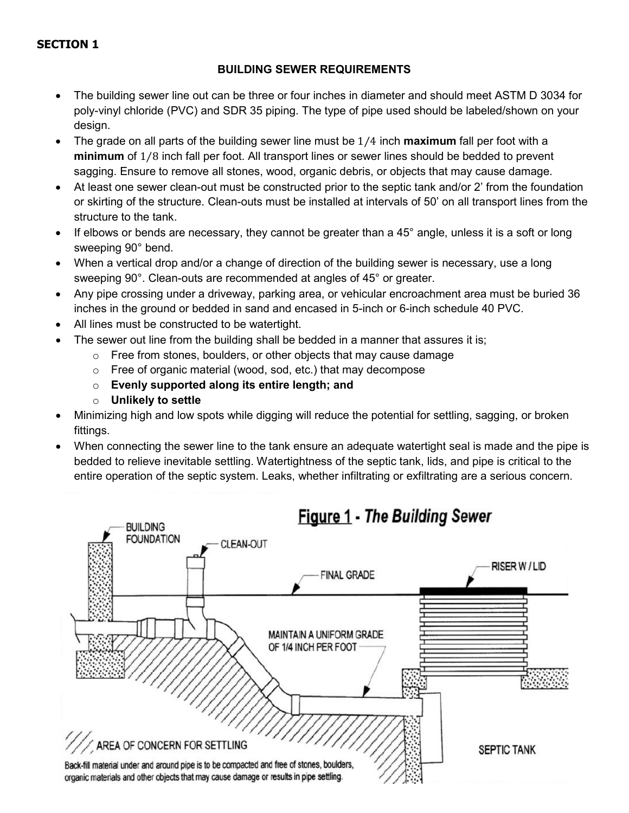### **SECTION 1**

#### **BUILDING SEWER REQUIREMENTS**

- The building sewer line out can be three or four inches in diameter and should meet ASTM D 3034 for poly-vinyl chloride (PVC) and SDR 35 piping. The type of pipe used should be labeled/shown on your design.
- The grade on all parts of the building sewer line must be 1⁄4 inch **maximum** fall per foot with a **minimum** of 1⁄8 inch fall per foot. All transport lines or sewer lines should be bedded to prevent sagging. Ensure to remove all stones, wood, organic debris, or objects that may cause damage.
- At least one sewer clean-out must be constructed prior to the septic tank and/or 2' from the foundation or skirting of the structure. Clean-outs must be installed at intervals of 50' on all transport lines from the structure to the tank.
- If elbows or bends are necessary, they cannot be greater than a  $45^{\circ}$  angle, unless it is a soft or long sweeping 90° bend.
- When a vertical drop and/or a change of direction of the building sewer is necessary, use a long sweeping 90°. Clean-outs are recommended at angles of 45° or greater.
- Any pipe crossing under a driveway, parking area, or vehicular encroachment area must be buried 36 inches in the ground or bedded in sand and encased in 5-inch or 6-inch schedule 40 PVC.
- All lines must be constructed to be watertight.
- The sewer out line from the building shall be bedded in a manner that assures it is:
	- $\circ$  Free from stones, boulders, or other objects that may cause damage
	- o Free of organic material (wood, sod, etc.) that may decompose
	- o **Evenly supported along its entire length; and**
	- o **Unlikely to settle**
- Minimizing high and low spots while digging will reduce the potential for settling, sagging, or broken fittings.
- When connecting the sewer line to the tank ensure an adequate watertight seal is made and the pipe is bedded to relieve inevitable settling. Watertightness of the septic tank, lids, and pipe is critical to the entire operation of the septic system. Leaks, whether infiltrating or exfiltrating are a serious concern.

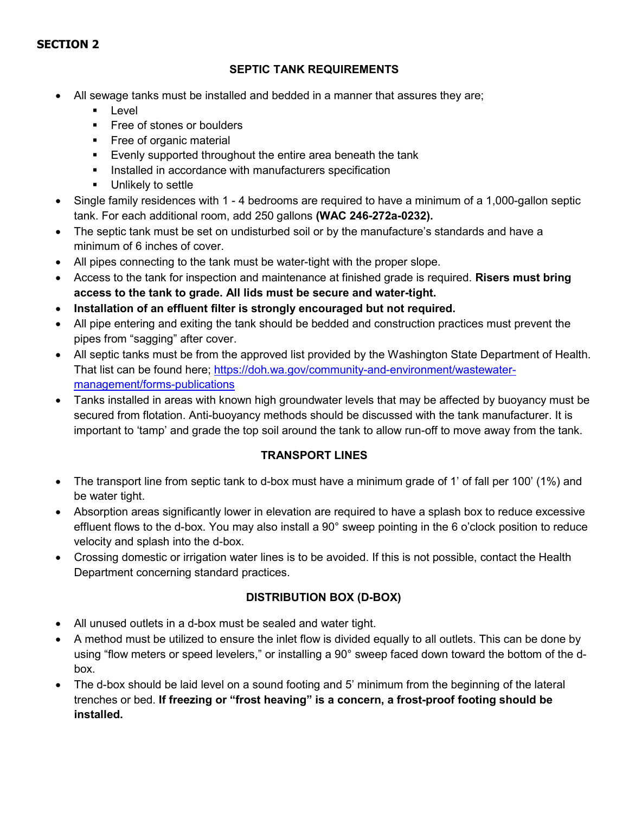# **SECTION 2**

#### **SEPTIC TANK REQUIREMENTS**

- All sewage tanks must be installed and bedded in a manner that assures they are;
	- **Level**
	- **Free of stones or boulders**
	- **Free of organic material**
	- **Evenly supported throughout the entire area beneath the tank**
	- **Installed in accordance with manufacturers specification**
	- **Unlikely to settle**
- Single family residences with 1 4 bedrooms are required to have a minimum of a 1,000-gallon septic tank. For each additional room, add 250 gallons **(WAC 246-272a-0232).**
- The septic tank must be set on undisturbed soil or by the manufacture's standards and have a minimum of 6 inches of cover.
- All pipes connecting to the tank must be water-tight with the proper slope.
- Access to the tank for inspection and maintenance at finished grade is required. **Risers must bring access to the tank to grade. All lids must be secure and water-tight.**
- **Installation of an effluent filter is strongly encouraged but not required.**
- All pipe entering and exiting the tank should be bedded and construction practices must prevent the pipes from "sagging" after cover.
- All septic tanks must be from the approved list provided by the Washington State Department of Health. That list can be found here; [https://doh.wa.gov/community-and-environment/wastewater](https://doh.wa.gov/community-and-environment/wastewater-management/forms-publications)[management/forms-publications](https://doh.wa.gov/community-and-environment/wastewater-management/forms-publications)
- Tanks installed in areas with known high groundwater levels that may be affected by buoyancy must be secured from flotation. Anti-buoyancy methods should be discussed with the tank manufacturer. It is important to 'tamp' and grade the top soil around the tank to allow run-off to move away from the tank.

#### **TRANSPORT LINES**

- The transport line from septic tank to d-box must have a minimum grade of 1' of fall per 100' (1%) and be water tight.
- Absorption areas significantly lower in elevation are required to have a splash box to reduce excessive effluent flows to the d-box. You may also install a 90° sweep pointing in the 6 o'clock position to reduce velocity and splash into the d-box.
- Crossing domestic or irrigation water lines is to be avoided. If this is not possible, contact the Health Department concerning standard practices.

#### **DISTRIBUTION BOX (D-BOX)**

- All unused outlets in a d-box must be sealed and water tight.
- A method must be utilized to ensure the inlet flow is divided equally to all outlets. This can be done by using "flow meters or speed levelers," or installing a 90° sweep faced down toward the bottom of the dbox.
- The d-box should be laid level on a sound footing and 5' minimum from the beginning of the lateral trenches or bed. **If freezing or "frost heaving" is a concern, a frost-proof footing should be installed.**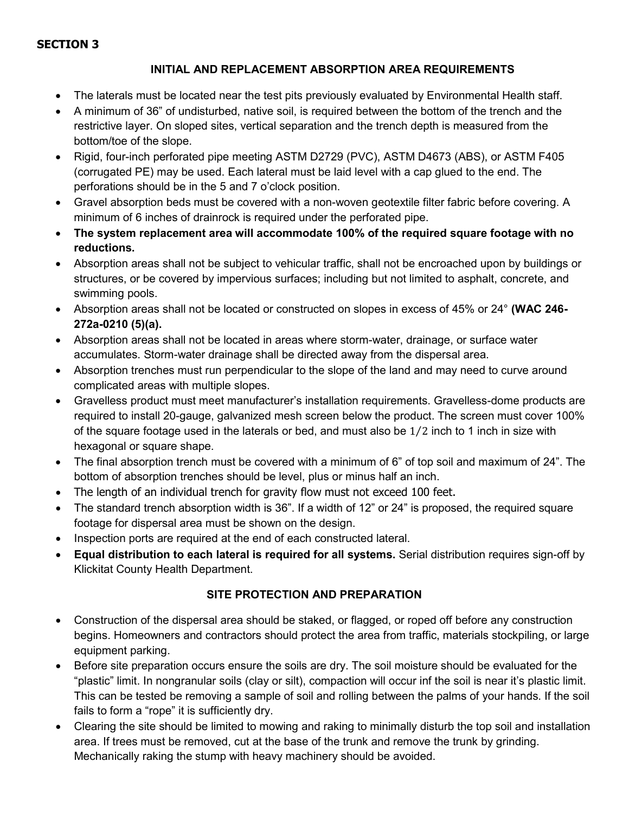#### **SECTION 3**

#### **INITIAL AND REPLACEMENT ABSORPTION AREA REQUIREMENTS**

- The laterals must be located near the test pits previously evaluated by Environmental Health staff.
- A minimum of 36" of undisturbed, native soil, is required between the bottom of the trench and the restrictive layer. On sloped sites, vertical separation and the trench depth is measured from the bottom/toe of the slope.
- Rigid, four-inch perforated pipe meeting ASTM D2729 (PVC), ASTM D4673 (ABS), or ASTM F405 (corrugated PE) may be used. Each lateral must be laid level with a cap glued to the end. The perforations should be in the 5 and 7 o'clock position.
- Gravel absorption beds must be covered with a non-woven geotextile filter fabric before covering. A minimum of 6 inches of drainrock is required under the perforated pipe.
- **The system replacement area will accommodate 100% of the required square footage with no reductions.**
- Absorption areas shall not be subject to vehicular traffic, shall not be encroached upon by buildings or structures, or be covered by impervious surfaces; including but not limited to asphalt, concrete, and swimming pools.
- Absorption areas shall not be located or constructed on slopes in excess of 45% or 24° **(WAC 246- 272a-0210 (5)(a).**
- Absorption areas shall not be located in areas where storm-water, drainage, or surface water accumulates. Storm-water drainage shall be directed away from the dispersal area.
- Absorption trenches must run perpendicular to the slope of the land and may need to curve around complicated areas with multiple slopes.
- Gravelless product must meet manufacturer's installation requirements. Gravelless-dome products are required to install 20-gauge, galvanized mesh screen below the product. The screen must cover 100% of the square footage used in the laterals or bed, and must also be 1⁄2 inch to 1 inch in size with hexagonal or square shape.
- The final absorption trench must be covered with a minimum of 6" of top soil and maximum of 24". The bottom of absorption trenches should be level, plus or minus half an inch.
- The length of an individual trench for gravity flow must not exceed 100 feet.
- The standard trench absorption width is 36". If a width of 12" or 24" is proposed, the required square footage for dispersal area must be shown on the design.
- Inspection ports are required at the end of each constructed lateral.
- **Equal distribution to each lateral is required for all systems.** Serial distribution requires sign-off by Klickitat County Health Department.

# **SITE PROTECTION AND PREPARATION**

- Construction of the dispersal area should be staked, or flagged, or roped off before any construction begins. Homeowners and contractors should protect the area from traffic, materials stockpiling, or large equipment parking.
- Before site preparation occurs ensure the soils are dry. The soil moisture should be evaluated for the "plastic" limit. In nongranular soils (clay or silt), compaction will occur inf the soil is near it's plastic limit. This can be tested be removing a sample of soil and rolling between the palms of your hands. If the soil fails to form a "rope" it is sufficiently dry.
- Clearing the site should be limited to mowing and raking to minimally disturb the top soil and installation area. If trees must be removed, cut at the base of the trunk and remove the trunk by grinding. Mechanically raking the stump with heavy machinery should be avoided.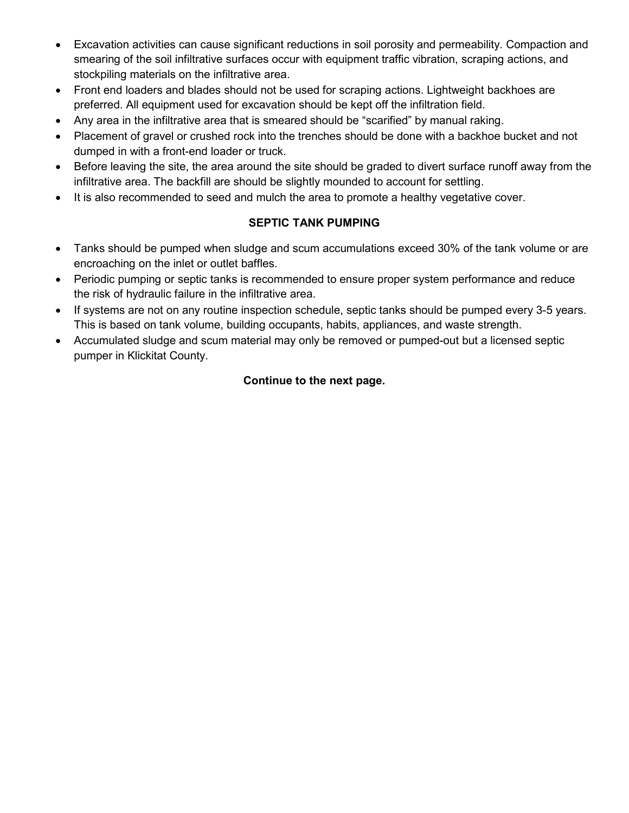- Excavation activities can cause significant reductions in soil porosity and permeability. Compaction and smearing of the soil infiltrative surfaces occur with equipment traffic vibration, scraping actions, and stockpiling materials on the infiltrative area.
- Front end loaders and blades should not be used for scraping actions. Lightweight backhoes are preferred. All equipment used for excavation should be kept off the infiltration field.
- Any area in the infiltrative area that is smeared should be "scarified" by manual raking.
- Placement of gravel or crushed rock into the trenches should be done with a backhoe bucket and not dumped in with a front-end loader or truck.
- Before leaving the site, the area around the site should be graded to divert surface runoff away from the infiltrative area. The backfill are should be slightly mounded to account for settling.
- It is also recommended to seed and mulch the area to promote a healthy vegetative cover.

#### **SEPTIC TANK PUMPING**

- Tanks should be pumped when sludge and scum accumulations exceed 30% of the tank volume or are encroaching on the inlet or outlet baffles.
- Periodic pumping or septic tanks is recommended to ensure proper system performance and reduce the risk of hydraulic failure in the infiltrative area.
- If systems are not on any routine inspection schedule, septic tanks should be pumped every 3-5 years. This is based on tank volume, building occupants, habits, appliances, and waste strength.
- Accumulated sludge and scum material may only be removed or pumped-out but a licensed septic pumper in Klickitat County.

# **Continue to the next page.**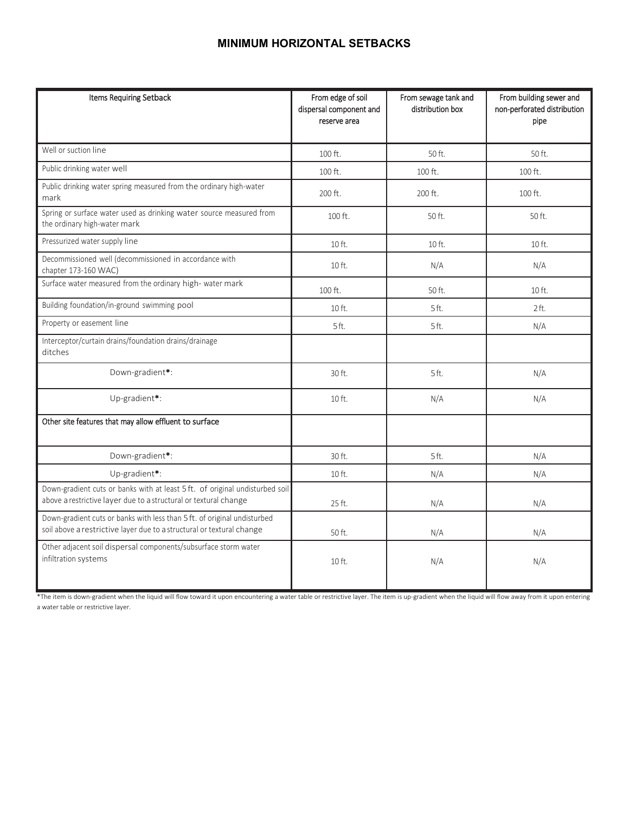# **MINIMUM HORIZONTAL SETBACKS**

| Items Requiring Setback                                                                                                                           | From edge of soil<br>dispersal component and<br>reserve area | From sewage tank and<br>distribution box | From building sewer and<br>non-perforated distribution<br>pipe |  |  |  |  |  |
|---------------------------------------------------------------------------------------------------------------------------------------------------|--------------------------------------------------------------|------------------------------------------|----------------------------------------------------------------|--|--|--|--|--|
| Well or suction line                                                                                                                              | 100 ft.                                                      | 50 ft.                                   | 50 ft.                                                         |  |  |  |  |  |
| Public drinking water well                                                                                                                        | 100 ft.                                                      | 100 ft.                                  | 100 ft.                                                        |  |  |  |  |  |
| Public drinking water spring measured from the ordinary high-water<br>mark                                                                        | 200 ft.                                                      | 200 ft.                                  | 100 ft.                                                        |  |  |  |  |  |
| Spring or surface water used as drinking water source measured from<br>the ordinary high-water mark                                               | 100 ft.                                                      | 50 ft.                                   | 50 ft.                                                         |  |  |  |  |  |
| Pressurized water supply line                                                                                                                     | 10 ft.                                                       | 10 ft.                                   | 10 ft.                                                         |  |  |  |  |  |
| Decommissioned well (decommissioned in accordance with<br>chapter 173-160 WAC)                                                                    | 10 ft.                                                       | N/A                                      | N/A                                                            |  |  |  |  |  |
| Surface water measured from the ordinary high- water mark                                                                                         | 100 ft.                                                      | 50 ft.                                   | 10 ft.                                                         |  |  |  |  |  |
| Building foundation/in-ground swimming pool                                                                                                       | 10 ft.                                                       | 5ft.                                     | 2ft.                                                           |  |  |  |  |  |
| Property or easement line                                                                                                                         | 5ft.                                                         | 5ft.                                     | N/A                                                            |  |  |  |  |  |
| Interceptor/curtain drains/foundation drains/drainage<br>ditches                                                                                  |                                                              |                                          |                                                                |  |  |  |  |  |
| Down-gradient*:                                                                                                                                   | 30 ft.                                                       | 5 ft.                                    | N/A                                                            |  |  |  |  |  |
| Up-gradient*:                                                                                                                                     | 10 ft.                                                       | N/A                                      | N/A                                                            |  |  |  |  |  |
| Other site features that may allow effluent to surface                                                                                            |                                                              |                                          |                                                                |  |  |  |  |  |
| Down-gradient*:                                                                                                                                   | 30 ft.                                                       | 5ft.                                     | N/A                                                            |  |  |  |  |  |
| Up-gradient*:                                                                                                                                     | $10$ ft.                                                     | N/A                                      | N/A                                                            |  |  |  |  |  |
| Down-gradient cuts or banks with at least 5 ft. of original undisturbed soil<br>above a restrictive layer due to a structural or textural change  | 25 ft.                                                       | N/A                                      | N/A                                                            |  |  |  |  |  |
| Down-gradient cuts or banks with less than 5 ft. of original undisturbed<br>soil above a restrictive layer due to a structural or textural change | 50 ft.                                                       | N/A                                      | N/A                                                            |  |  |  |  |  |
| Other adjacent soil dispersal components/subsurface storm water<br>infiltration systems                                                           | 10 ft.                                                       | N/A                                      | N/A                                                            |  |  |  |  |  |

\*The item is down-gradient when the liquid will flow toward it upon encountering a water table or restrictive layer. The item is up-gradient when the liquid will flow away from it upon entering a water table or restrictive layer.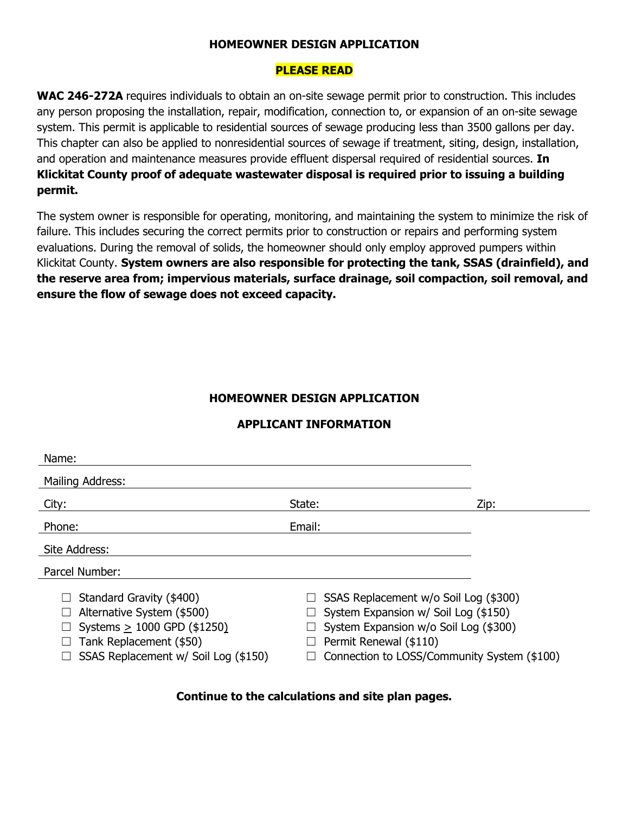#### **HOMEOWNER DESIGN APPLICATION**

#### **PLEASE READ**

**WAC 246-272A** requires individuals to obtain an on-site sewage permit prior to construction. This includes any person proposing the installation, repair, modification, connection to, or expansion of an on-site sewage system. This permit is applicable to residential sources of sewage producing less than 3500 gallons per day. This chapter can also be applied to nonresidential sources of sewage if treatment, siting, design, installation, and operation and maintenance measures provide effluent dispersal required of residential sources. **In Klickitat County proof of adequate wastewater disposal is required prior to issuing a building permit.**

The system owner is responsible for operating, monitoring, and maintaining the system to minimize the risk of failure. This includes securing the correct permits prior to construction or repairs and performing system evaluations. During the removal of solids, the homeowner should only employ approved pumpers within Klickitat County. **System owners are also responsible for protecting the tank, SSAS (drainfield), and the reserve area from; impervious materials, surface drainage, soil compaction, soil removal, and ensure the flow of sewage does not exceed capacity.**

#### **HOMEOWNER DESIGN APPLICATION**

#### **APPLICANT INFORMATION**

| Name:                                                                                                                                                      |                                                                                                                                                                                                 |      |
|------------------------------------------------------------------------------------------------------------------------------------------------------------|-------------------------------------------------------------------------------------------------------------------------------------------------------------------------------------------------|------|
| Mailing Address:                                                                                                                                           |                                                                                                                                                                                                 |      |
| City:                                                                                                                                                      | State:                                                                                                                                                                                          | Zip: |
| Phone:                                                                                                                                                     | Email:                                                                                                                                                                                          |      |
| Site Address:                                                                                                                                              |                                                                                                                                                                                                 |      |
| Parcel Number:                                                                                                                                             |                                                                                                                                                                                                 |      |
| Standard Gravity (\$400)<br>Alternative System (\$500)<br>Systems $> 1000$ GPD (\$1250)<br>Tank Replacement (\$50)<br>SSAS Replacement w/ Soil Log (\$150) | SSAS Replacement w/o Soil Log (\$300)<br>System Expansion w/ Soil Log (\$150)<br>System Expansion w/o Soil Log (\$300)<br>Permit Renewal (\$110)<br>Connection to LOSS/Community System (\$100) |      |

#### **Continue to the calculations and site plan pages.**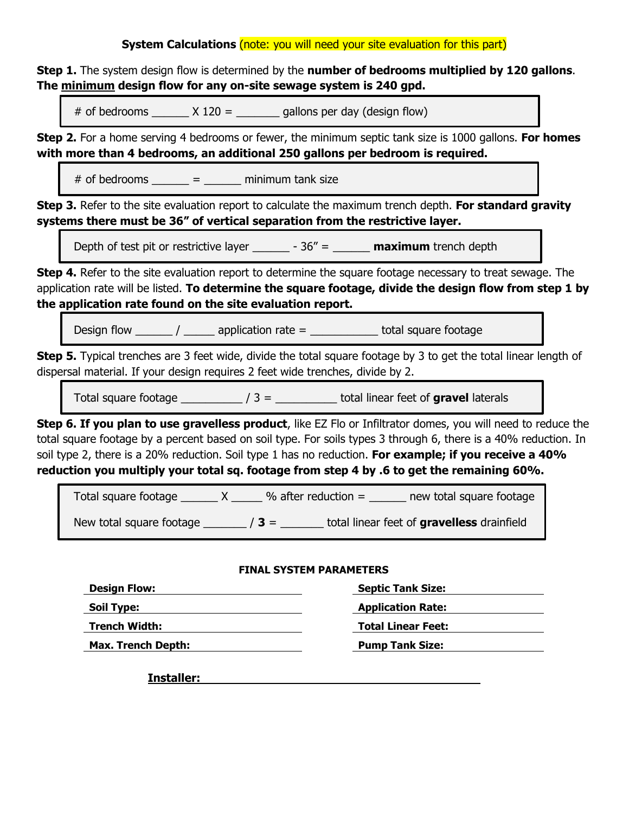#### **System Calculations** (note: you will need your site evaluation for this part)

**Step 1.** The system design flow is determined by the **number of bedrooms multiplied by 120 gallons**. **The minimum design flow for any on-site sewage system is 240 gpd.**

# of bedrooms  $\qquad \qquad$   $\times$  120 =  $\qquad \qquad$  gallons per day (design flow)

**Step 2.** For a home serving 4 bedrooms or fewer, the minimum septic tank size is 1000 gallons. **For homes with more than 4 bedrooms, an additional 250 gallons per bedroom is required.**

 $#$  of bedrooms  $=$  minimum tank size

**Step 3.** Refer to the site evaluation report to calculate the maximum trench depth. **For standard gravity systems there must be 36" of vertical separation from the restrictive layer.**

Depth of test pit or restrictive layer \_\_\_\_\_\_ - 36" = \_\_\_\_\_\_ **maximum** trench depth

**Step 4.** Refer to the site evaluation report to determine the square footage necessary to treat sewage. The application rate will be listed. **To determine the square footage, divide the design flow from step 1 by the application rate found on the site evaluation report.**

Design flow  $\frac{1}{\sqrt{2\pi}}$  /  $\frac{1}{\sqrt{2\pi}}$  application rate =  $\frac{1}{\sqrt{2\pi}}$  total square footage

**Step 5.** Typical trenches are 3 feet wide, divide the total square footage by 3 to get the total linear length of dispersal material. If your design requires 2 feet wide trenches, divide by 2.

Total square footage  $\frac{1}{2}$  / 3 =  $\frac{1}{2}$  total linear feet of **gravel** laterals

**Step 6. If you plan to use gravelless product**, like EZ Flo or Infiltrator domes, you will need to reduce the total square footage by a percent based on soil type. For soils types 3 through 6, there is a 40% reduction. In soil type 2, there is a 20% reduction. Soil type 1 has no reduction. **For example; if you receive a 40% reduction you multiply your total sq. footage from step 4 by .6 to get the remaining 60%.**

Total square footage  $\_\_\_\_ X \_\_\_$ % after reduction =  $\_\_\_\_$ new total square footage New total square footage \_\_\_\_\_\_\_ / **3** = \_\_\_\_\_\_\_ total linear feet of **gravelless** drainfield

#### **FINAL SYSTEM PARAMETERS**

| <b>Design Flow:</b>       | <b>Septic Tank Size:</b>  |
|---------------------------|---------------------------|
| <b>Soil Type:</b>         | <b>Application Rate:</b>  |
| <b>Trench Width:</b>      | <b>Total Linear Feet:</b> |
| <b>Max. Trench Depth:</b> | <b>Pump Tank Size:</b>    |

**Installer:**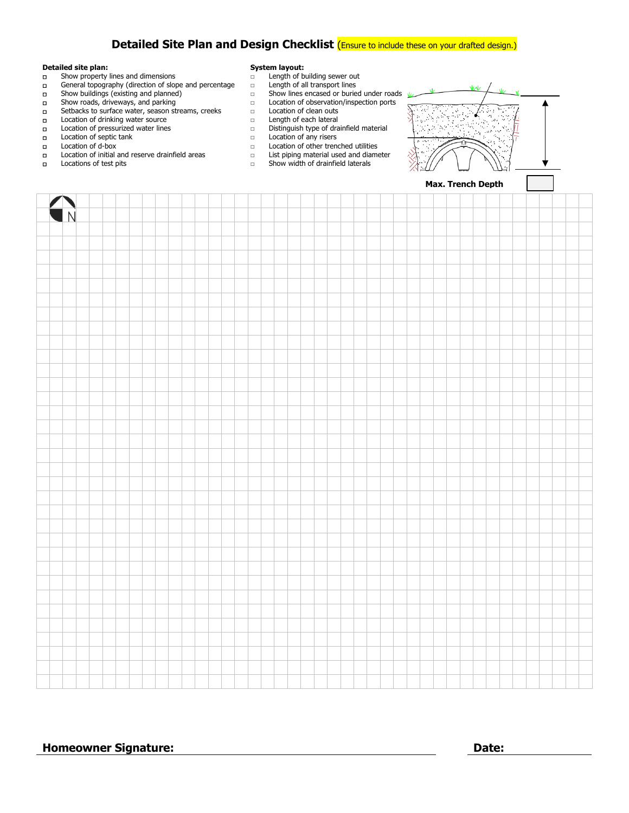### **Detailed Site Plan and Design Checklist** (Ensure to include these on your drafted design.)

- **Detailed site plan: System layout:**<br> **Detailed site plan: Show property lines and dimensions**
- □ Show property lines and dimensions □ Length of building sewer out □ Ceneral topography (direction of slope and percentage □ Length of all transport lines
- □ General topography (direction of slope and percentage □<br>□ Show buildings (existing and planned) □ Show buildings (existing and planned) □ Show lines encased or buried under roads
- 
- □ Setbacks to surface water, season streams, creeks □ Location of clean outs
- 
- □ Location of drinking water source<br>□ Location of pressurized water lines
- □ Location of septic tank □ Location of any risers
- 
- □ Location of initial and reserve drainfield areas<br>□ Locations of test pits
- 
- 
- 
- 
- 
- □ Location of observation/inspection ports<br>□ Location of clean outs
- 
- 
- □ Location of pressurized water lines Distinguish type of drainfield material <br>□ Location of septic tank Docation of any risers
	-
	-
	- $\Box$  Location of other trenched utilities<br> $\Box$  List piping material used and diameter
- □ Locations of test pits <br>□ Show width of drainfield laterals



| $\bigcap_{\Delta}$ |  |  |  |  |  |  |  |  |  |  |  |  |  |  |  |  |  |  |  |  |  |  |  |  |  |  |  |
|--------------------|--|--|--|--|--|--|--|--|--|--|--|--|--|--|--|--|--|--|--|--|--|--|--|--|--|--|--|
|                    |  |  |  |  |  |  |  |  |  |  |  |  |  |  |  |  |  |  |  |  |  |  |  |  |  |  |  |
|                    |  |  |  |  |  |  |  |  |  |  |  |  |  |  |  |  |  |  |  |  |  |  |  |  |  |  |  |
|                    |  |  |  |  |  |  |  |  |  |  |  |  |  |  |  |  |  |  |  |  |  |  |  |  |  |  |  |
|                    |  |  |  |  |  |  |  |  |  |  |  |  |  |  |  |  |  |  |  |  |  |  |  |  |  |  |  |
|                    |  |  |  |  |  |  |  |  |  |  |  |  |  |  |  |  |  |  |  |  |  |  |  |  |  |  |  |
|                    |  |  |  |  |  |  |  |  |  |  |  |  |  |  |  |  |  |  |  |  |  |  |  |  |  |  |  |
|                    |  |  |  |  |  |  |  |  |  |  |  |  |  |  |  |  |  |  |  |  |  |  |  |  |  |  |  |
|                    |  |  |  |  |  |  |  |  |  |  |  |  |  |  |  |  |  |  |  |  |  |  |  |  |  |  |  |
|                    |  |  |  |  |  |  |  |  |  |  |  |  |  |  |  |  |  |  |  |  |  |  |  |  |  |  |  |
|                    |  |  |  |  |  |  |  |  |  |  |  |  |  |  |  |  |  |  |  |  |  |  |  |  |  |  |  |
|                    |  |  |  |  |  |  |  |  |  |  |  |  |  |  |  |  |  |  |  |  |  |  |  |  |  |  |  |
|                    |  |  |  |  |  |  |  |  |  |  |  |  |  |  |  |  |  |  |  |  |  |  |  |  |  |  |  |
|                    |  |  |  |  |  |  |  |  |  |  |  |  |  |  |  |  |  |  |  |  |  |  |  |  |  |  |  |
|                    |  |  |  |  |  |  |  |  |  |  |  |  |  |  |  |  |  |  |  |  |  |  |  |  |  |  |  |
|                    |  |  |  |  |  |  |  |  |  |  |  |  |  |  |  |  |  |  |  |  |  |  |  |  |  |  |  |
|                    |  |  |  |  |  |  |  |  |  |  |  |  |  |  |  |  |  |  |  |  |  |  |  |  |  |  |  |
|                    |  |  |  |  |  |  |  |  |  |  |  |  |  |  |  |  |  |  |  |  |  |  |  |  |  |  |  |
|                    |  |  |  |  |  |  |  |  |  |  |  |  |  |  |  |  |  |  |  |  |  |  |  |  |  |  |  |
|                    |  |  |  |  |  |  |  |  |  |  |  |  |  |  |  |  |  |  |  |  |  |  |  |  |  |  |  |
|                    |  |  |  |  |  |  |  |  |  |  |  |  |  |  |  |  |  |  |  |  |  |  |  |  |  |  |  |
|                    |  |  |  |  |  |  |  |  |  |  |  |  |  |  |  |  |  |  |  |  |  |  |  |  |  |  |  |
|                    |  |  |  |  |  |  |  |  |  |  |  |  |  |  |  |  |  |  |  |  |  |  |  |  |  |  |  |
|                    |  |  |  |  |  |  |  |  |  |  |  |  |  |  |  |  |  |  |  |  |  |  |  |  |  |  |  |
|                    |  |  |  |  |  |  |  |  |  |  |  |  |  |  |  |  |  |  |  |  |  |  |  |  |  |  |  |
|                    |  |  |  |  |  |  |  |  |  |  |  |  |  |  |  |  |  |  |  |  |  |  |  |  |  |  |  |
|                    |  |  |  |  |  |  |  |  |  |  |  |  |  |  |  |  |  |  |  |  |  |  |  |  |  |  |  |
|                    |  |  |  |  |  |  |  |  |  |  |  |  |  |  |  |  |  |  |  |  |  |  |  |  |  |  |  |
|                    |  |  |  |  |  |  |  |  |  |  |  |  |  |  |  |  |  |  |  |  |  |  |  |  |  |  |  |
|                    |  |  |  |  |  |  |  |  |  |  |  |  |  |  |  |  |  |  |  |  |  |  |  |  |  |  |  |
|                    |  |  |  |  |  |  |  |  |  |  |  |  |  |  |  |  |  |  |  |  |  |  |  |  |  |  |  |
|                    |  |  |  |  |  |  |  |  |  |  |  |  |  |  |  |  |  |  |  |  |  |  |  |  |  |  |  |
|                    |  |  |  |  |  |  |  |  |  |  |  |  |  |  |  |  |  |  |  |  |  |  |  |  |  |  |  |
|                    |  |  |  |  |  |  |  |  |  |  |  |  |  |  |  |  |  |  |  |  |  |  |  |  |  |  |  |
|                    |  |  |  |  |  |  |  |  |  |  |  |  |  |  |  |  |  |  |  |  |  |  |  |  |  |  |  |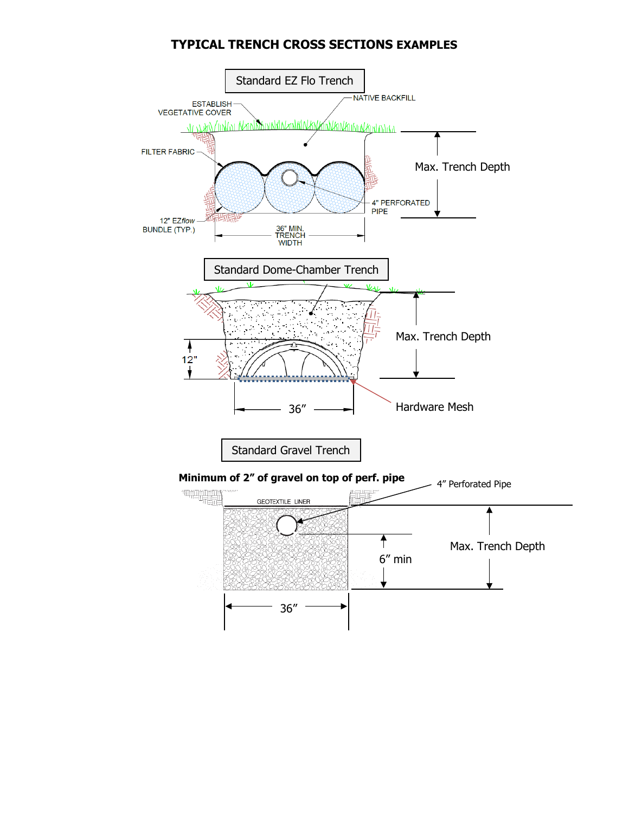### **TYPICAL TRENCH CROSS SECTIONS EXAMPLES**